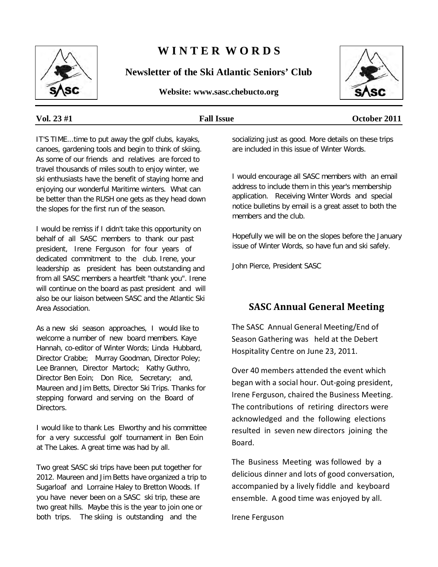

# **W I N T E R W O R D S**

**Newsletter of the Ski Atlantic Seniors' Club**

**Website: www.sasc.chebucto.org**



#### **Vol. 23 #1 Fall Issue October 2011**

IT'S TIME...time to put away the golf clubs, kayaks, canoes, gardening tools and begin to think of skiing. As some of our friends and relatives are forced to travel thousands of miles south to enjoy winter, we ski enthusiasts have the benefit of staying home and enjoying our wonderful Maritime winters. What can be better than the RUSH one gets as they head down the slopes for the first run of the season.

I would be remiss if I didn't take this opportunity on behalf of all SASC members to thank our past president, Irene Ferguson for four years of dedicated commitment to the club. Irene, your leadership as president has been outstanding and from all SASC members a heartfelt "thank you". Irene will continue on the board as past president and will also be our liaison between SASC and the Atlantic Ski Area Association.

As a new ski season approaches, I would like to welcome a number of new board members. Kaye Hannah, co-editor of Winter Words; Linda Hubbard, Director Crabbe; Murray Goodman, Director Poley; Lee Brannen, Director Martock; Kathy Guthro, Director Ben Eoin; Don Rice, Secretary; and, Maureen and Jim Betts, Director Ski Trips. Thanks for stepping forward and serving on the Board of Directors.

I would like to thank Les Elworthy and his committee for a very successful golf tournament in Ben Eoin at The Lakes. A great time was had by all.

Two great SASC ski trips have been put together for 2012. Maureen and Jim Betts have organized a trip to Sugarloaf and Lorraine Haley to Bretton Woods. If you have never been on a SASC ski trip, these are two great hills. Maybe this is the year to join one or both trips. The skiing is outstanding and the

socializing just as good. More details on these trips are included in this issue of Winter Words.

I would encourage all SASC members with an email address to include them in this year's membership application. Receiving Winter Words and special notice bulletins by email is a great asset to both the members and the club.

Hopefully we will be on the slopes before the January issue of Winter Words, so have fun and ski safely.

John Pierce, President SASC

## **SASC Annual General Meeting**

The SASC Annual General Meeting/End of Season Gathering was held at the Debert Hospitality Centre on June 23, 2011.

Over 40 members attended the event which began with a social hour. Out-going president, Irene Ferguson, chaired the Business Meeting. The contributions of retiring directors were acknowledged and the following elections resulted in seven new directors joining the Board.

The Business Meeting was followed by a delicious dinner and lots of good conversation, accompanied by a lively fiddle and keyboard ensemble. A good time was enjoyed by all.

Irene Ferguson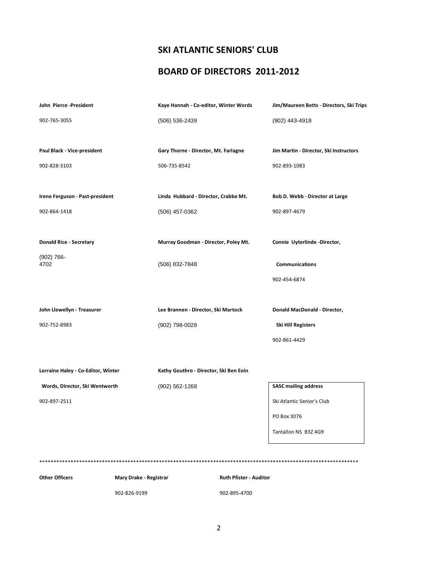## **SKI ATLANTIC SENIORS' CLUB**

#### **BOARD OF DIRECTORS 2011-2012**

| John Pierce-President              |                        | Kaye Hannah - Co-editor, Winter Words  | Jim/Maureen Betts - Directors, Ski Trips |
|------------------------------------|------------------------|----------------------------------------|------------------------------------------|
| 902-765-3055                       |                        | (506) 536-2439                         | (902) 443-4918                           |
|                                    |                        |                                        |                                          |
| Paul Black - Vice-president        |                        | Gary Thorne - Director, Mt. Farlagne   | Jim Martin - Director, Ski Instructors   |
| 902-828-3103                       |                        | 506-735-8542                           | 902-893-1083                             |
|                                    |                        |                                        |                                          |
| Irene Ferguson - Past-president    |                        | Linda Hubbard - Director, Crabbe Mt.   | Bob D. Webb - Director at Large          |
| 902-864-1418                       |                        | (506) 457-0362                         | 902-897-4679                             |
|                                    |                        |                                        |                                          |
| <b>Donald Rice - Secretary</b>     |                        | Murray Goodman - Director, Poley Mt.   | Connie Uyterlinde -Director,             |
| $(902) 766 -$<br>4702              |                        | (506) 832-7848                         | <b>Communications</b>                    |
|                                    |                        |                                        | 902-454-6874                             |
|                                    |                        |                                        |                                          |
| John Llewellyn - Treasurer         |                        | Lee Brannen - Director, Ski Martock    | Donald MacDonald - Director,             |
| 902-752-8983                       |                        | (902) 798-0028                         | Ski Hill Registers                       |
|                                    |                        |                                        | 902-861-4429                             |
|                                    |                        |                                        |                                          |
| Lorraine Haley - Co-Editor, Winter |                        | Kathy Gouthro - Director, Ski Ben Eoin |                                          |
| Words, Director, Ski Wentworth     |                        | (902) 562-1268                         | <b>SASC mailing address</b>              |
| 902-897-2511                       |                        |                                        | Ski Atlantic Senior's Club               |
|                                    |                        |                                        | PO Box 3076                              |
|                                    |                        |                                        | Tantallon NS B3Z 4G9                     |
|                                    |                        |                                        |                                          |
|                                    |                        |                                        |                                          |
| <b>Other Officers</b>              | Mary Drake - Registrar | <b>Ruth Pfister - Auditor</b>          |                                          |

902-826-9199 902-895-4700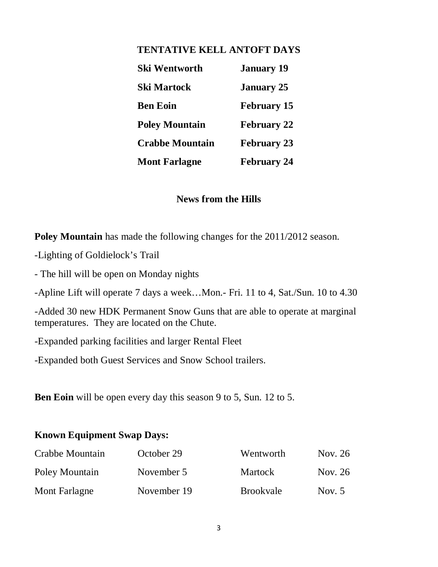## **TENTATIVE KELL ANTOFT DAYS**

| <b>Ski Wentworth</b>   | <b>January 19</b>  |
|------------------------|--------------------|
| <b>Ski Martock</b>     | <b>January 25</b>  |
| <b>Ben Eoin</b>        | <b>February 15</b> |
| <b>Poley Mountain</b>  | <b>February 22</b> |
| <b>Crabbe Mountain</b> | <b>February 23</b> |
| <b>Mont Farlagne</b>   | <b>February 24</b> |

#### **News from the Hills**

**Poley Mountain** has made the following changes for the 2011/2012 season.

- -Lighting of Goldielock's Trail
- The hill will be open on Monday nights

-Apline Lift will operate 7 days a week…Mon.- Fri. 11 to 4, Sat./Sun. 10 to 4.30

-Added 30 new HDK Permanent Snow Guns that are able to operate at marginal temperatures. They are located on the Chute.

-Expanded parking facilities and larger Rental Fleet

-Expanded both Guest Services and Snow School trailers.

**Ben Eoin** will be open every day this season 9 to 5, Sun. 12 to 5.

## **Known Equipment Swap Days:**

| Crabbe Mountain | October 29  | Wentworth        | Nov. 26  |
|-----------------|-------------|------------------|----------|
| Poley Mountain  | November 5  | <b>Martock</b>   | Nov. 26  |
| Mont Farlagne   | November 19 | <b>Brookvale</b> | Nov. $5$ |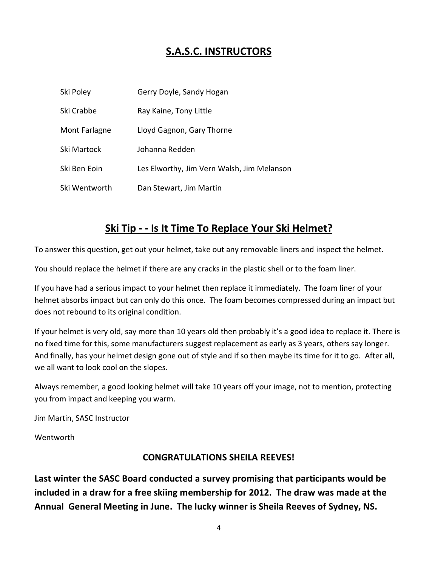# **S.A.S.C. INSTRUCTORS**

| Ski Poley     | Gerry Doyle, Sandy Hogan                   |
|---------------|--------------------------------------------|
| Ski Crabbe    | Ray Kaine, Tony Little                     |
| Mont Farlagne | Lloyd Gagnon, Gary Thorne                  |
| Ski Martock   | Johanna Redden                             |
| Ski Ben Eoin  | Les Elworthy, Jim Vern Walsh, Jim Melanson |
| Ski Wentworth | Dan Stewart, Jim Martin                    |

# **Ski Tip - - Is It Time To Replace Your Ski Helmet?**

To answer this question, get out your helmet, take out any removable liners and inspect the helmet.

You should replace the helmet if there are any cracks in the plastic shell or to the foam liner.

If you have had a serious impact to your helmet then replace it immediately. The foam liner of your helmet absorbs impact but can only do this once. The foam becomes compressed during an impact but does not rebound to its original condition.

If your helmet is very old, say more than 10 years old then probably it's a good idea to replace it. There is no fixed time for this, some manufacturers suggest replacement as early as 3 years, others say longer. And finally, has your helmet design gone out of style and if so then maybe its time for it to go. After all, we all want to look cool on the slopes.

Always remember, a good looking helmet will take 10 years off your image, not to mention, protecting you from impact and keeping you warm.

Jim Martin, SASC Instructor

Wentworth

#### **CONGRATULATIONS SHEILA REEVES!**

**Last winter the SASC Board conducted a survey promising that participants would be included in a draw for a free skiing membership for 2012. The draw was made at the Annual General Meeting in June. The lucky winner is Sheila Reeves of Sydney, NS.**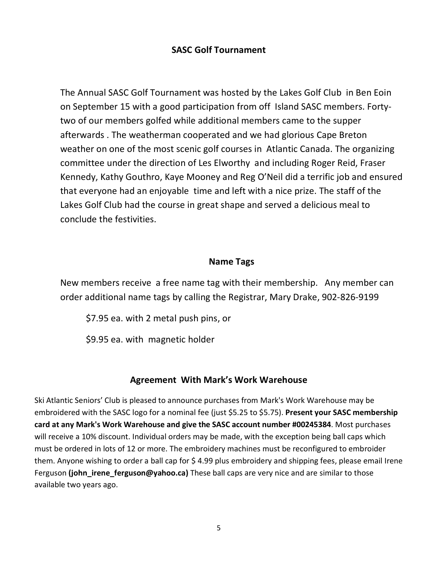## **SASC Golf Tournament**

The Annual SASC Golf Tournament was hosted by the Lakes Golf Club in Ben Eoin on September 15 with a good participation from off Island SASC members. Fortytwo of our members golfed while additional members came to the supper afterwards . The weatherman cooperated and we had glorious Cape Breton weather on one of the most scenic golf courses in Atlantic Canada. The organizing committee under the direction of Les Elworthy and including Roger Reid, Fraser Kennedy, Kathy Gouthro, Kaye Mooney and Reg O'Neil did a terrific job and ensured that everyone had an enjoyable time and left with a nice prize. The staff of the Lakes Golf Club had the course in great shape and served a delicious meal to conclude the festivities.

#### **Name Tags**

New members receive a free name tag with their membership. Any member can order additional name tags by calling the Registrar, Mary Drake, 902-826-9199

\$7.95 ea. with 2 metal push pins, or

\$9.95 ea. with magnetic holder

#### **Agreement With Mark's Work Warehouse**

Ski Atlantic Seniors' Club is pleased to announce purchases from Mark's Work Warehouse may be embroidered with the SASC logo for a nominal fee (just \$5.25 to \$5.75). **Present your SASC membership card at any Mark's Work Warehouse and give the SASC account number #00245384**. Most purchases will receive a 10% discount. Individual orders may be made, with the exception being ball caps which must be ordered in lots of 12 or more. The embroidery machines must be reconfigured to embroider them. Anyone wishing to order a ball cap for \$4.99 plus embroidery and shipping fees, please email Irene Ferguson **(john\_irene\_ferguson@yahoo.ca)** These ball caps are very nice and are similar to those available two years ago.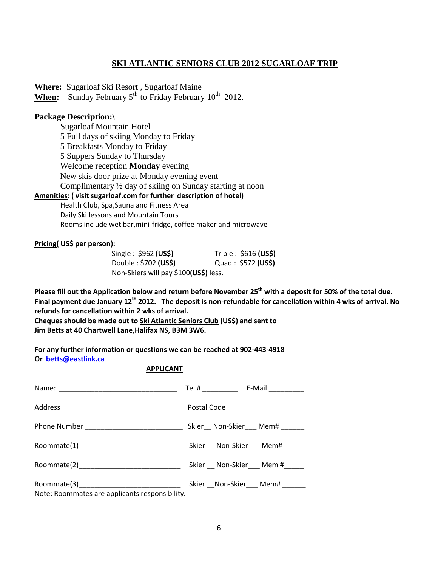#### **SKI ATLANTIC SENIORS CLUB 2012 SUGARLOAF TRIP**

**Where:** Sugarloaf Ski Resort , Sugarloaf Maine **When:** Sunday February  $5<sup>th</sup>$  to Friday February  $10<sup>th</sup>$  2012.

#### **Package Description:\**

Sugarloaf Mountain Hotel 5 Full days of skiing Monday to Friday 5 Breakfasts Monday to Friday 5 Suppers Sunday to Thursday Welcome reception **Monday** evening New skis door prize at Monday evening event Complimentary ½ day of skiing on Sunday starting at noon **Amenities: ( visit sugarloaf.com for further description of hotel)**

Health Club, Spa,Sauna and Fitness Area Daily Ski lessons and Mountain Tours Rooms include wet bar,mini-fridge, coffee maker and microwave

#### **Pricing( US\$ per person):**

| Single: $$962 (US$)$                  | Triple: $$616$ (US\$) |
|---------------------------------------|-----------------------|
| Double: \$702 (US\$)                  | Quad: \$572 (US\$)    |
| Non-Skiers will pay \$100(US\$) less. |                       |

**Please fill out the Application below and return before November 25th with a deposit for 50% of the total due. Final payment due January 12th 2012. The deposit is non-refundable for cancellation within 4 wks of arrival. No refunds for cancellation within 2 wks of arrival.**

**Cheques should be made out to Ski Atlantic Seniors Club (US\$) and sent to Jim Betts at 40 Chartwell Lane,Halifax NS, B3M 3W6.**

**For any further information or questions we can be reached at 902-443-4918 Or [betts@eastlink.ca](mailto:betts@eastlink.ca)**

#### **APPLICANT**

|                                                | Postal Code _________ |                                    |
|------------------------------------------------|-----------------------|------------------------------------|
| Phone Number _____________________________     |                       | Skier Non-Skier Mem#               |
|                                                |                       | Skier __ Non-Skier ___ Mem# _____  |
|                                                |                       | Skier __ Non-Skier ___ Mem #_____  |
| Note: Roommates are applicants responsibility. |                       | Skier __ Non-Skier ___ Mem# ______ |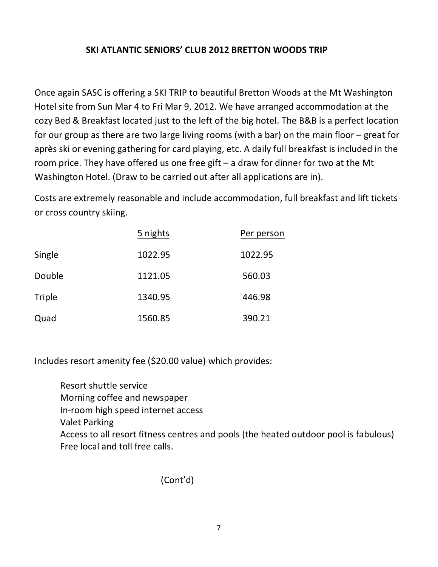## **SKI ATLANTIC SENIORS' CLUB 2012 BRETTON WOODS TRIP**

Once again SASC is offering a SKI TRIP to beautiful Bretton Woods at the Mt Washington Hotel site from Sun Mar 4 to Fri Mar 9, 2012. We have arranged accommodation at the cozy Bed & Breakfast located just to the left of the big hotel. The B&B is a perfect location for our group as there are two large living rooms (with a bar) on the main floor – great for après ski or evening gathering for card playing, etc. A daily full breakfast is included in the room price. They have offered us one free gift – a draw for dinner for two at the Mt Washington Hotel. (Draw to be carried out after all applications are in).

Costs are extremely reasonable and include accommodation, full breakfast and lift tickets or cross country skiing.

|        | 5 nights | Per person |  |
|--------|----------|------------|--|
| Single | 1022.95  | 1022.95    |  |
| Double | 1121.05  | 560.03     |  |
| Triple | 1340.95  | 446.98     |  |
| Quad   | 1560.85  | 390.21     |  |

Includes resort amenity fee (\$20.00 value) which provides:

Resort shuttle service Morning coffee and newspaper In-room high speed internet access Valet Parking Access to all resort fitness centres and pools (the heated outdoor pool is fabulous) Free local and toll free calls.

(Cont'd)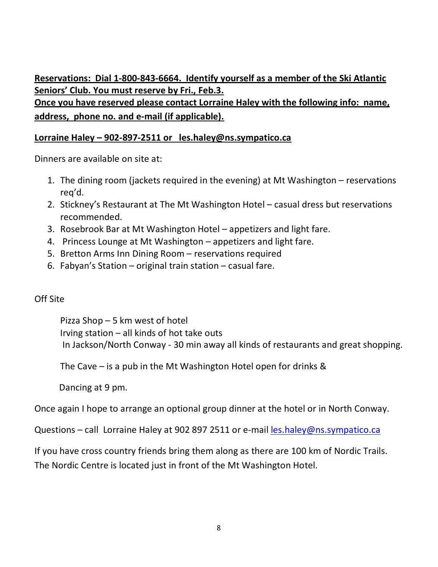**Reservations: Dial 1-800-843-6664. Identify yourself as a member of the Ski Atlantic Seniors' Club. You must reserve by Fri., Feb.3. Once you have reserved please contact Lorraine Haley with the following info: name, address, phone no. and e-mail (if applicable).**

### **Lorraine Haley – 902-897-2511 or les.haley@ns.sympatico.ca**

Dinners are available on site at:

- 1. The dining room (jackets required in the evening) at Mt Washington reservations req'd.
- 2. Stickney's Restaurant at The Mt Washington Hotel casual dress but reservations recommended.
- 3. Rosebrook Bar at Mt Washington Hotel appetizers and light fare.
- 4. Princess Lounge at Mt Washington appetizers and light fare.
- 5. Bretton Arms Inn Dining Room reservations required
- 6. Fabyan's Station original train station casual fare.

## Off Site

Pizza Shop – 5 km west of hotel Irving station – all kinds of hot take outs In Jackson/North Conway - 30 min away all kinds of restaurants and great shopping.

The Cave – is a pub in the Mt Washington Hotel open for drinks &

Dancing at 9 pm.

Once again I hope to arrange an optional group dinner at the hotel or in North Conway.

Questions – call Lorraine Haley at 902 897 2511 or e-mail [les.haley@ns.sympatico.ca](mailto:les.haley@ns.sympatico.ca)

If you have cross country friends bring them along as there are 100 km of Nordic Trails. The Nordic Centre is located just in front of the Mt Washington Hotel.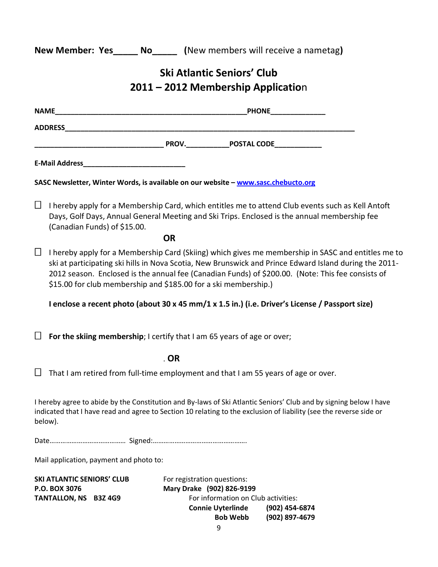**New Member: Yes\_\_\_\_\_ No\_\_\_\_\_ (**New members will receive a nametag**)** 

# **Ski Atlantic Seniors' Club 2011 – 2012 Membership Applicatio**n

|              |                                                                                                                                                                                                                                                                                                                                                                                                   |                                                          |                                                                                    | <b>PHONE</b>                                                                                                                                                                                                                            |
|--------------|---------------------------------------------------------------------------------------------------------------------------------------------------------------------------------------------------------------------------------------------------------------------------------------------------------------------------------------------------------------------------------------------------|----------------------------------------------------------|------------------------------------------------------------------------------------|-----------------------------------------------------------------------------------------------------------------------------------------------------------------------------------------------------------------------------------------|
|              | <u> 1989 - Johann Barbara, martxa alemaniar arg</u><br><b>ADDRESS</b>                                                                                                                                                                                                                                                                                                                             |                                                          |                                                                                    |                                                                                                                                                                                                                                         |
|              |                                                                                                                                                                                                                                                                                                                                                                                                   |                                                          |                                                                                    |                                                                                                                                                                                                                                         |
|              |                                                                                                                                                                                                                                                                                                                                                                                                   |                                                          |                                                                                    |                                                                                                                                                                                                                                         |
|              | SASC Newsletter, Winter Words, is available on our website - www.sasc.chebucto.org                                                                                                                                                                                                                                                                                                                |                                                          |                                                                                    |                                                                                                                                                                                                                                         |
| $\mathbf{L}$ | (Canadian Funds) of \$15.00.                                                                                                                                                                                                                                                                                                                                                                      |                                                          |                                                                                    | I hereby apply for a Membership Card, which entitles me to attend Club events such as Kell Antoft<br>Days, Golf Days, Annual General Meeting and Ski Trips. Enclosed is the annual membership fee                                       |
| $\Box$       | <b>OR</b><br>I hereby apply for a Membership Card (Skiing) which gives me membership in SASC and entitles me to<br>ski at participating ski hills in Nova Scotia, New Brunswick and Prince Edward Island during the 2011-<br>2012 season. Enclosed is the annual fee (Canadian Funds) of \$200.00. (Note: This fee consists of<br>\$15.00 for club membership and \$185.00 for a ski membership.) |                                                          |                                                                                    |                                                                                                                                                                                                                                         |
|              |                                                                                                                                                                                                                                                                                                                                                                                                   |                                                          |                                                                                    | I enclose a recent photo (about 30 x 45 mm/1 x 1.5 in.) (i.e. Driver's License / Passport size)                                                                                                                                         |
|              | For the skiing membership; I certify that I am 65 years of age or over;                                                                                                                                                                                                                                                                                                                           |                                                          |                                                                                    |                                                                                                                                                                                                                                         |
|              |                                                                                                                                                                                                                                                                                                                                                                                                   | $.$ OR                                                   |                                                                                    |                                                                                                                                                                                                                                         |
|              | That I am retired from full-time employment and that I am 55 years of age or over.                                                                                                                                                                                                                                                                                                                |                                                          |                                                                                    |                                                                                                                                                                                                                                         |
|              | below).                                                                                                                                                                                                                                                                                                                                                                                           |                                                          |                                                                                    | I hereby agree to abide by the Constitution and By-laws of Ski Atlantic Seniors' Club and by signing below I have<br>indicated that I have read and agree to Section 10 relating to the exclusion of liability (see the reverse side or |
|              |                                                                                                                                                                                                                                                                                                                                                                                                   |                                                          |                                                                                    |                                                                                                                                                                                                                                         |
|              | Mail application, payment and photo to:                                                                                                                                                                                                                                                                                                                                                           |                                                          |                                                                                    |                                                                                                                                                                                                                                         |
|              | <b>SKI ATLANTIC SENIORS' CLUB</b><br>P.O. BOX 3076<br>TANTALLON, NS B3Z 4G9                                                                                                                                                                                                                                                                                                                       | For registration questions:<br>Mary Drake (902) 826-9199 | For information on Club activities:<br><b>Connie Uyterlinde</b><br><b>Bob Webb</b> | (902) 454-6874<br>(902) 897-4679                                                                                                                                                                                                        |